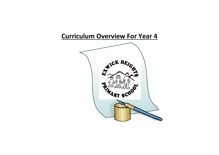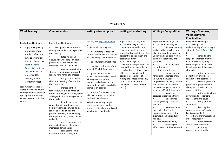|                                                                                                                                                                                                                                                                                                                                                                                                                       | <b>YR 4 ENGLISH</b>                                                                                                                                                                                                                                                                                                                                                                                                                                                                                                                                                                                                                                                                                                                                                                                                                                                                                                                                                |                                                                                                                                                                                                                                                                                                                                                                                                                                                                                                                                                                                                                                                                                      |                                                                                                                                                                                                                                                                                                                                                                                                                                                                                                                   |                                                                                                                                                                                                                                                                                                                                                                                                                                                                                                                                                                                                                                                                                                                                                                                                                                           |                                                                                                                                                                                                                                                                                                                                                                                                                                                                                                                                                                                                                                                                                                                                                                                                                                                                      |  |  |
|-----------------------------------------------------------------------------------------------------------------------------------------------------------------------------------------------------------------------------------------------------------------------------------------------------------------------------------------------------------------------------------------------------------------------|--------------------------------------------------------------------------------------------------------------------------------------------------------------------------------------------------------------------------------------------------------------------------------------------------------------------------------------------------------------------------------------------------------------------------------------------------------------------------------------------------------------------------------------------------------------------------------------------------------------------------------------------------------------------------------------------------------------------------------------------------------------------------------------------------------------------------------------------------------------------------------------------------------------------------------------------------------------------|--------------------------------------------------------------------------------------------------------------------------------------------------------------------------------------------------------------------------------------------------------------------------------------------------------------------------------------------------------------------------------------------------------------------------------------------------------------------------------------------------------------------------------------------------------------------------------------------------------------------------------------------------------------------------------------|-------------------------------------------------------------------------------------------------------------------------------------------------------------------------------------------------------------------------------------------------------------------------------------------------------------------------------------------------------------------------------------------------------------------------------------------------------------------------------------------------------------------|-------------------------------------------------------------------------------------------------------------------------------------------------------------------------------------------------------------------------------------------------------------------------------------------------------------------------------------------------------------------------------------------------------------------------------------------------------------------------------------------------------------------------------------------------------------------------------------------------------------------------------------------------------------------------------------------------------------------------------------------------------------------------------------------------------------------------------------------|----------------------------------------------------------------------------------------------------------------------------------------------------------------------------------------------------------------------------------------------------------------------------------------------------------------------------------------------------------------------------------------------------------------------------------------------------------------------------------------------------------------------------------------------------------------------------------------------------------------------------------------------------------------------------------------------------------------------------------------------------------------------------------------------------------------------------------------------------------------------|--|--|
| <b>Word Reading</b>                                                                                                                                                                                                                                                                                                                                                                                                   | Comprehension                                                                                                                                                                                                                                                                                                                                                                                                                                                                                                                                                                                                                                                                                                                                                                                                                                                                                                                                                      | Writing - transcription                                                                                                                                                                                                                                                                                                                                                                                                                                                                                                                                                                                                                                                              | <b>Writing - Handwriting</b>                                                                                                                                                                                                                                                                                                                                                                                                                                                                                      | <b>Writing - Composition</b>                                                                                                                                                                                                                                                                                                                                                                                                                                                                                                                                                                                                                                                                                                                                                                                                              | <b>Writing - Grammar,</b><br><b>Vocabulary and</b><br>Punctuation                                                                                                                                                                                                                                                                                                                                                                                                                                                                                                                                                                                                                                                                                                                                                                                                    |  |  |
| Pupils should be taught to:<br>apply their growing<br>knowledge of root<br>words, prefixes and<br>suffixes (etymology<br>and morphology) as<br>listed in English<br>Appendix 1, both to<br>read aloud and to<br>understand the<br>meaning of new<br>words they meet<br>read further exception<br>words, noting the unusual<br>correspondences between<br>spelling and sound, and<br>where these occur in the<br>word. | Pupils should be taught to:<br>develop positive attitudes to<br>reading and understanding of what<br>they read by:<br>listening to and<br>discussing a wide range of fiction,<br>poetry, plays, non-fiction and<br>reference books or textbooks<br>reading books that are<br>structured in different ways and<br>reading for a range of purposes<br>using dictionaries to<br>check the meaning of words that<br>they have read<br>increasing their<br>m.<br>familiarity with a wide range of<br>books, including fairy stories, myths<br>and legends, and retelling some of<br>these orally<br>identifying themes and<br>m.<br>conventions in a wide range of<br>books preparing poems and play<br>scripts to read aloud and to<br>perform, showing understanding<br>through intonation, tone, volume<br>and action<br>discussing words and<br>phrases that capture the reader's<br>interest and imagination<br>recognising some<br>different forms of poetry [for | Spelling (see English Appendix<br>$\mathbf{I}$<br>Pupils should be taught to:<br>use further prefixes and<br>suffixes and understand how to<br>add them (English Appendix 1)<br>spell further homophones<br>spell words that are often<br>misspelt (English Appendix 1)<br>place the possessive<br>apostrophe accurately in words<br>with regular plurals [for<br>example, girls', boys'] and in<br>words with irregular plurals [for<br>example, children's]<br>use the first two or three<br>letters of a word to check its<br>spelling in a dictionary<br>write from memory simple<br>sentences, dictated by the<br>teacher, that include words and<br>punctuation taught so far. | Pupils should be taught to:<br>use the diagonal and<br>horizontal strokes that are<br>needed to join letters and<br>understand which letters, when<br>adjacent to one another, are<br>best left unjoined<br>increase the legibility,<br>consistency and quality of their<br>handwriting [for example, by<br>ensuring that the downstrokes<br>of letters are parallel and<br>equidistant; that lines of<br>writing are spaced sufficiently<br>so that the ascenders and<br>descenders of letters do not<br>touch]. | Pupils should be taught to:<br>plan their writing by:<br>×<br>discussing writing<br>similar to that which they are<br>planning to write in order to<br>understand and learn from its<br>structure, vocabulary and<br>grammar<br>discussing and<br>×<br>recording ideas<br>draft and write by:<br>n.<br>×.<br>composing and<br>rehearsing sentences orally<br>(including dialogue),<br>progressively building a varied<br>and rich vocabulary and an<br>increasing range of sentence<br>structures (English Appendix 2)<br>organising<br>paragraphs around a theme<br>in narratives,<br>creating settings, characters<br>and plot<br>٠<br>in non-narrative<br>material, using simple<br>organisational devices [for<br>example, headings and sub-<br>headings]<br>evaluate and edit by:<br>assessing the<br>effectiveness of their own and | Pupils should be taught to:<br>develop their<br>understanding of the concepts<br>set out in English Appendix 2<br>by:<br>$\mathbf{u}$<br>extending the<br>range of sentences with more<br>than one clause by using a<br>wider range of conjunctions,<br>including when, if, because,<br>although<br>٠<br>using the present<br>perfect form of verbs in<br>contrast to the past tense<br>×<br>choosing nouns or<br>pronouns appropriately for<br>clarity and cohesion and to<br>avoid repetition<br>using conjunctions,<br>adverbs and prepositions to<br>express time and cause<br>٠<br>using fronted<br>adverbials<br>$\mathcal{L}_{\mathcal{A}}$<br>learning the<br>grammar for years 3 and 4 in<br>English Appendix 2<br>indicate grammatical and<br>other features by:<br>using commas<br>after fronted adverbials<br>×<br>indicating<br>possession by using the |  |  |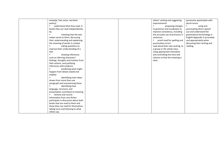| example, free verse, narrative       | others' writing and suggesting   | possessive apostrophe with    |
|--------------------------------------|----------------------------------|-------------------------------|
| poetry]                              | improvements                     | plural nouns                  |
| understand what they read, in<br>×   | proposing changes                | ×<br>using and                |
| books they can read independently,   | to grammar and vocabulary to     | punctuating direct speech     |
| by:                                  | improve consistency, including   | use and understand the        |
| ×<br>checking that the text          | the accurate use of pronouns in  | grammatical terminology in    |
| makes sense to them, discussing      | sentences                        | English Appendix 2 accurately |
| their understanding and explaining   | proof-read for spelling and      | and appropriately when        |
| the meaning of words in context      | punctuation errors               | discussing their writing and  |
| asking questions to<br>×             | read aloud their own writing, to | reading.                      |
| improve their understanding of a     | a group or the whole class,      |                               |
| text                                 | using appropriate intonation     |                               |
| drawing inferences<br><b>CO</b>      | and controlling the tone and     |                               |
| such as inferring characters'        | volume so that the meaning is    |                               |
| feelings, thoughts and motives from  | clear.                           |                               |
| their actions, and justifying        |                                  |                               |
| inferences with evidence             |                                  |                               |
| predicting what might<br>×           |                                  |                               |
| happen from details stated and       |                                  |                               |
| implied                              |                                  |                               |
| identifying main ideas               |                                  |                               |
| drawn from more than one             |                                  |                               |
| paragraph and summarising these      |                                  |                               |
| <b>In</b><br>identifying how         |                                  |                               |
| language, structure, and             |                                  |                               |
| presentation contribute to meaning   |                                  |                               |
| retrieve and record<br>×             |                                  |                               |
| information from non-fiction         |                                  |                               |
| participate in discussion about both |                                  |                               |
| books that are read to them and      |                                  |                               |
| those they can read for themselves,  |                                  |                               |
| taking turns and listening to what   |                                  |                               |
| others say.                          |                                  |                               |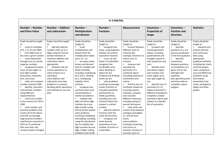| Yr 4 MATHS.                                                                                                                                                                                                                                                                                                                                                                                                                                                                                                                                                                                                                                                                                                                                       |                                                                                                                                                                                                                                                                                                                                                                                                                                                    |                                                                                                                                                                                                                                                                                                                                                                                                                                                                                                                                                                                                                                                                                                                                                                                                              |                                                                                                                                                                                                                                                                                                                                                                                                                                                                                                                                                                                                                                                                                                                   |                                                                                                                                                                                                                                                                                                                                                                                                                                                                                                                                                                                                                                                                                     |                                                                                                                                                                                                                                                                                                                                                                                                                                                                                                                                           |                                                                                                                                                                                                                                                                                                                        |                                                                                                                                                                                                                                                                                                                                            |
|---------------------------------------------------------------------------------------------------------------------------------------------------------------------------------------------------------------------------------------------------------------------------------------------------------------------------------------------------------------------------------------------------------------------------------------------------------------------------------------------------------------------------------------------------------------------------------------------------------------------------------------------------------------------------------------------------------------------------------------------------|----------------------------------------------------------------------------------------------------------------------------------------------------------------------------------------------------------------------------------------------------------------------------------------------------------------------------------------------------------------------------------------------------------------------------------------------------|--------------------------------------------------------------------------------------------------------------------------------------------------------------------------------------------------------------------------------------------------------------------------------------------------------------------------------------------------------------------------------------------------------------------------------------------------------------------------------------------------------------------------------------------------------------------------------------------------------------------------------------------------------------------------------------------------------------------------------------------------------------------------------------------------------------|-------------------------------------------------------------------------------------------------------------------------------------------------------------------------------------------------------------------------------------------------------------------------------------------------------------------------------------------------------------------------------------------------------------------------------------------------------------------------------------------------------------------------------------------------------------------------------------------------------------------------------------------------------------------------------------------------------------------|-------------------------------------------------------------------------------------------------------------------------------------------------------------------------------------------------------------------------------------------------------------------------------------------------------------------------------------------------------------------------------------------------------------------------------------------------------------------------------------------------------------------------------------------------------------------------------------------------------------------------------------------------------------------------------------|-------------------------------------------------------------------------------------------------------------------------------------------------------------------------------------------------------------------------------------------------------------------------------------------------------------------------------------------------------------------------------------------------------------------------------------------------------------------------------------------------------------------------------------------|------------------------------------------------------------------------------------------------------------------------------------------------------------------------------------------------------------------------------------------------------------------------------------------------------------------------|--------------------------------------------------------------------------------------------------------------------------------------------------------------------------------------------------------------------------------------------------------------------------------------------------------------------------------------------|
| Number – Number<br>and Place Value                                                                                                                                                                                                                                                                                                                                                                                                                                                                                                                                                                                                                                                                                                                | Number - Addition<br>and subtraction                                                                                                                                                                                                                                                                                                                                                                                                               | Number-<br><b>Multiplication</b><br>and division                                                                                                                                                                                                                                                                                                                                                                                                                                                                                                                                                                                                                                                                                                                                                             | Number $-$<br>fractions                                                                                                                                                                                                                                                                                                                                                                                                                                                                                                                                                                                                                                                                                           | <b>Measurement</b>                                                                                                                                                                                                                                                                                                                                                                                                                                                                                                                                                                                                                                                                  | Geometry-<br><b>Properties of</b><br>shape                                                                                                                                                                                                                                                                                                                                                                                                                                                                                                | Geometry-<br><b>Position and</b><br>direction                                                                                                                                                                                                                                                                          | <b>Statistics</b>                                                                                                                                                                                                                                                                                                                          |
| Pupils should be taught<br>to<br>count in multiples<br>of 6, 7, 9, 25 and 1000<br>find 1000 more or<br>less than a given number<br>count backwards<br>through zero to include<br>negative numbers<br>recognise the place<br>value of each digit in a<br>four-digit number<br>(thousands, hundreds,<br>tens, and ones)<br>order and compare<br>numbers beyond 1000<br>identify, represent<br>and estimate numbers<br>using different<br>representations<br>round any number<br>to the nearest 10, 100 or<br>1000<br>solve number and<br>practical problems that<br>involve all of the above<br>and with increasingly<br>large positive numbers<br>read Roman numerals to<br>100 (I to C) and know<br>that over time, the<br>numeral system changed | Pupils should be taught<br>to:<br>$\blacksquare$<br>add and subtract<br>numbers with up to 4<br>digits using the formal<br>written methods of<br>columnar addition and<br>subtraction where<br>appropriate<br>estimate and use<br>$\mathbf{u}$<br>inverse operations to<br>check answers to a<br>calculation<br>solve addition and<br>subtraction two-step<br>problems in contexts,<br>deciding which operations<br>and methods to use and<br>why. | Pupils should be<br>taught to:<br>recall<br><b>College</b><br>multiplication and<br>division facts for<br>multiplication tables<br>up to $12 \times 12$<br>use place value,<br>known and derived<br>facts to multiply and<br>divide mentally,<br>including: multiplying<br>by 0 and 1; dividing<br>by 1; multiplying<br>together three<br>numbers<br>$\mathcal{L}_{\mathcal{A}}$<br>recognise and<br>use factor pairs and<br>commutativity in<br>mental calculations<br>multiply two-<br>$\overline{\phantom{a}}$<br>digit and three-digit<br>numbers by a one-<br>digit number using<br>formal written layout<br>solve problems<br>involving multiplying<br>and adding, including<br>using the distributive<br>law to multiply two<br>digit numbers by one<br>digit, integer scaling<br>problems and harder | Pupils should be<br>taught to:<br>recognise and<br>show, using diagrams,<br>families of common<br>equivalent fractions<br>count up and<br>m.<br>down in hundredths;<br>recognise that<br>hundredths arise<br>when dividing an<br>object by one<br>hundred and dividing<br>tenths by ten.<br>solve problems<br>involving increasingly<br>harder fractions to<br>calculate quantities,<br>and fractions to<br>divide quantities,<br>including non-unit<br>fractions where the<br>answer is a whole<br>number<br>add and subtract<br>$\mathbf{E}^{\text{max}}$<br>fractions with the<br>same denominator<br><b>B</b> Co<br>recognise and<br>write decimal<br>equivalents of any<br>number of tenths or<br>hundredths | Pupils should be<br>taught to:<br>Convert between<br>different units of<br>measure [for<br>example, kilometre to<br>metre; hour to<br>minutel<br>a.<br>measure and<br>calculate the<br>perimeter of a<br>rectilinear figure<br>(including squares) in<br>centimetres and<br>metres<br>find the area of<br>m.<br>rectilinear shapes by<br>counting squares<br>estimate, compare<br>and calculate<br>different measures,<br>including money in<br>pounds and pence<br>read, write and<br><b>B</b><br>convert time between<br>analogue and digital<br>12- and 24-hour<br>clocks<br>solve problems<br>involving converting<br>from hours to<br>minutes; minutes to<br>seconds; years to | Pupils should be<br>taught to:<br>×<br>compare and<br>classify geometric<br>shapes, including<br>quadrilaterals and<br>triangles, based on<br>their properties and<br>sizes<br>$\mathcal{L}_{\mathcal{A}}$<br>identify acute<br>and obtuse angles<br>and compare and<br>order angles up to<br>two right angles by<br>size<br>$\mathcal{L}_{\rm{in}}$<br>identify lines of<br>symmetry in 2-D<br>shapes presented in<br>different orientations<br>complete a simple<br>symmetric figure with<br>respect to a specific<br>line of symmetry. | Pupils should be<br>taught to:<br>describe<br>positions on a 2-D<br>grid as coordinates<br>in the first quadrant<br>describe<br>movements<br>between positions<br>as translations of a<br>given unit to the<br>left/right and<br>up/down<br>plot specified points<br>and draw sides to<br>complete a given<br>polygon. | Pupils should be<br>taught to:<br>interpret and<br>present discrete<br>and continuous<br>data using<br>appropriate<br>graphical methods,<br>including bar charts<br>and time graphs.<br>solve comparison,<br>sum and difference<br>problems using<br>information<br>presented in bar<br>charts, pictograms,<br>tables and other<br>graphs. |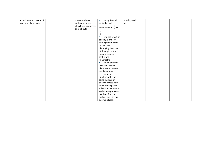| to include the concept of | correspondence                         | recognise and<br>×.                            | months; weeks to |  |  |
|---------------------------|----------------------------------------|------------------------------------------------|------------------|--|--|
| zero and place value.     | problems such as n                     | write decimal                                  | days.            |  |  |
|                           | objects are connected<br>to m objects. | equivalents to $\frac{1}{4}$ . $\frac{1}{2}$ . |                  |  |  |
|                           |                                        | $rac{3}{4}$                                    |                  |  |  |
|                           |                                        | find the effect of                             |                  |  |  |
|                           |                                        | dividing a one- or                             |                  |  |  |
|                           |                                        | two-digit number by                            |                  |  |  |
|                           |                                        | 10 and 100,                                    |                  |  |  |
|                           |                                        | identifying the value                          |                  |  |  |
|                           |                                        | of the digits in the                           |                  |  |  |
|                           |                                        | answer as ones,                                |                  |  |  |
|                           |                                        | tenths and                                     |                  |  |  |
|                           |                                        | hundredths                                     |                  |  |  |
|                           |                                        | round decimals                                 |                  |  |  |
|                           |                                        | with one decimal                               |                  |  |  |
|                           |                                        | place to the nearest                           |                  |  |  |
|                           |                                        | whole number                                   |                  |  |  |
|                           |                                        | compare<br>a.                                  |                  |  |  |
|                           |                                        | numbers with the                               |                  |  |  |
|                           |                                        | same number of                                 |                  |  |  |
|                           |                                        | decimal places up to                           |                  |  |  |
|                           |                                        | two decimal places                             |                  |  |  |
|                           |                                        | solve simple measure                           |                  |  |  |
|                           |                                        | and money problems                             |                  |  |  |
|                           |                                        | involving fractions                            |                  |  |  |
|                           |                                        | and decimals to two                            |                  |  |  |
|                           |                                        | decimal places.                                |                  |  |  |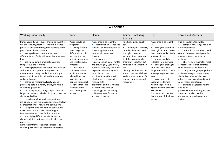| <b>Yr 4 SCIENCE</b>                                                                                                                                                                                                                                                                                                                                                                                                                                                                                                                                                                                                                                                                                                                                                                                                                                                                                                                                                                                                                                                                                                                                                                                                                                                                                                   |                                                                                                                                                                                                                                                                                                                                                                              |                                                                                                                                                                                                                                                                                                                                                                                                                                                                                                                                                                                                         |                                                                                                                                                                                                                                                                                                                                                                           |                                                                                                                                                                                                                                                                                                                                                                                                                                                                                                                |                                                                                                                                                                                                                                                                                                                                                                                                                                                                                                                                                                                                                                                                                                                                       |  |
|-----------------------------------------------------------------------------------------------------------------------------------------------------------------------------------------------------------------------------------------------------------------------------------------------------------------------------------------------------------------------------------------------------------------------------------------------------------------------------------------------------------------------------------------------------------------------------------------------------------------------------------------------------------------------------------------------------------------------------------------------------------------------------------------------------------------------------------------------------------------------------------------------------------------------------------------------------------------------------------------------------------------------------------------------------------------------------------------------------------------------------------------------------------------------------------------------------------------------------------------------------------------------------------------------------------------------|------------------------------------------------------------------------------------------------------------------------------------------------------------------------------------------------------------------------------------------------------------------------------------------------------------------------------------------------------------------------------|---------------------------------------------------------------------------------------------------------------------------------------------------------------------------------------------------------------------------------------------------------------------------------------------------------------------------------------------------------------------------------------------------------------------------------------------------------------------------------------------------------------------------------------------------------------------------------------------------------|---------------------------------------------------------------------------------------------------------------------------------------------------------------------------------------------------------------------------------------------------------------------------------------------------------------------------------------------------------------------------|----------------------------------------------------------------------------------------------------------------------------------------------------------------------------------------------------------------------------------------------------------------------------------------------------------------------------------------------------------------------------------------------------------------------------------------------------------------------------------------------------------------|---------------------------------------------------------------------------------------------------------------------------------------------------------------------------------------------------------------------------------------------------------------------------------------------------------------------------------------------------------------------------------------------------------------------------------------------------------------------------------------------------------------------------------------------------------------------------------------------------------------------------------------------------------------------------------------------------------------------------------------|--|
| <b>Working Scientifically</b>                                                                                                                                                                                                                                                                                                                                                                                                                                                                                                                                                                                                                                                                                                                                                                                                                                                                                                                                                                                                                                                                                                                                                                                                                                                                                         | <b>Rocks</b>                                                                                                                                                                                                                                                                                                                                                                 | Plants                                                                                                                                                                                                                                                                                                                                                                                                                                                                                                                                                                                                  | Animals, including<br>humans                                                                                                                                                                                                                                                                                                                                              | Light                                                                                                                                                                                                                                                                                                                                                                                                                                                                                                          | <b>Forces and Magnets</b>                                                                                                                                                                                                                                                                                                                                                                                                                                                                                                                                                                                                                                                                                                             |  |
| During years 3 and 4, pupils should be taught to<br>use the following practical scientific methods,<br>processes and skills through the teaching of the<br>programme of study content:<br>asking relevant questions and using<br>different types of scientific enquiries to answer<br>them<br>setting up simple practical enquiries,<br>comparative and fair tests<br>making systematic and careful observations<br>and, where appropriate, taking accurate<br>measurements using standard units, using a<br>range of equipment, including thermometers<br>and data loggers<br>gathering, recording, classifying and<br>presenting data in a variety of ways to help in<br>answering questions<br>recording findings using simple scientific<br>language, drawings, labelled diagrams, keys, bar<br>charts, and tables<br>reporting on findings from enquiries,<br>including oral and written explanations, displays<br>or presentations of results and conclusions<br>using results to draw simple conclusions,<br>make predictions for new values, suggest<br>improvements and raise further questions<br>identifying differences, similarities or<br>changes related to simple scientific ideas and<br>processes<br>using straightforward scientific evidence to<br>answer questions or to support their findings. | Pupils should be<br>taught to:<br>compare and<br>a.<br>group together<br>different kinds of<br>rocks on the basis<br>of their appearance<br>and simple physical<br>properties<br>describe in<br>simple terms how<br>fossils are formed<br>when things that<br>have lived are<br>trapped within rock<br>recognise that soils<br>are made from<br>rocks and organic<br>matter. | Pupils should be taught to:<br>identify and describe the<br>m,<br>functions of different parts of<br>flowering plants: roots,<br>stem/trunk, leaves and<br>flowers<br>explore the<br>$\mathcal{F}_{\mathcal{F}}$<br>requirements of plants for life<br>and growth (air, light, water,<br>nutrients from soil, and room<br>to grow) and how they vary<br>from plant to plant<br>investigate the way in<br>which water is transported<br>within plants<br>explore the part that flowers<br>play in the life cycle of<br>flowering plants, including<br>pollination, seed formation<br>and seed dispersal. | Pupils should be taught<br>to:<br>identify that animals,<br>$\mathbf{u}$<br>including humans, need<br>the right types and<br>amount of nutrition, and<br>that they cannot make<br>their own food; they get<br>nutrition from what they<br>eat<br>identify that humans and<br>some other animals have<br>skeletons and muscles for<br>support, protection and<br>movement. | Pupils should be taught<br>to:<br>recognise that they<br>need light in order to see<br>things and that dark is the<br>absence of light<br>notice that light is<br>a.<br>reflected from surfaces<br>recognise that light<br>×<br>from the sun can be<br>dangerous and that there<br>are ways to protect their<br>eyes<br>recognise that<br>a.<br>shadows are formed<br>when the light from a<br>light source is blocked by<br>a solid object<br>find patterns in the way<br>that the size of shadows<br>change. | Pupils should be taught to:<br>×<br>compare how things move on<br>different surfaces<br>notice that some forces need<br>$\mathcal{L}_{\mathcal{A}}$<br>contact between two objects, but<br>magnetic forces can act at a<br>distance<br>$\mathcal{L}_{\mathcal{A}}$<br>observe how magnets attract<br>or repel each other and attract<br>some materials and not others<br>compare and group together a<br>variety of everyday materials on<br>the basis of whether they are<br>attracted to a magnet, and identify<br>some magnetic materials<br>describe magnets as having<br>$\mathcal{L}_{\mathcal{A}}$<br>two poles<br>predict whether two magnets will<br>attract or repel each other,<br>depending on which poles are<br>facing. |  |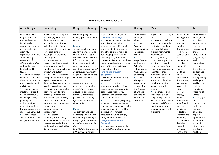| <b>Year 4 NON-CORE SUBJECTS</b> |                              |                            |                                  |                |                                 |               |                           |
|---------------------------------|------------------------------|----------------------------|----------------------------------|----------------|---------------------------------|---------------|---------------------------|
| Art & Design                    | Computing                    | Design & Technology        | Geography                        | History        | Music                           | PE            | <b>MFL</b>                |
|                                 |                              |                            |                                  |                |                                 |               |                           |
| Pupils should be                | Pupils should be taught to:  | When designing and         | Pupils should be taught to:      | Pupils should  | Pupils should be taught         | Pupils should | Pupils should             |
| taught to develop               | design, write and<br>m.      | making, pupils should be   | <b>Locational knowledge</b>      | be taught      | to:                             | be taught to: | be taught to:             |
| their techniques,               | debug programs that          | taught to:                 | name and locate counties         | about:         | ×.<br>play and perform          | ٠<br>use      | a.<br>listen              |
| including their                 | accomplish specific goals,   |                            | and cities of the United         | the<br>a.      | in solo and ensemble            | running,      | attentively to            |
| control and their use           | including controlling or     | <b>Design</b>              | Kingdom, geographical regions    | Roman          | contexts, using their           | jumping,      | spoken                    |
| of materials, with              | simulating physical systems; | use research and, with     | and their identifying human      | Empire and its | voices and playing              | throwing and  | language and              |
| creativity,                     | solve problems by            | support, develop design    | and physical characteristics,    | impact on      | musical instruments             | catching in   | show                      |
| experimentation and             | decomposing them into        | criteria that focuses on   | key topographical features       | <b>Britain</b> | with increasing                 | isolation and | understandin              |
| an increasing                   | smaller parts                | the needs of the user and  | (including hills, mountains,     | The<br>×       | accuracy, fluency,              | in            | g by joining in           |
| awareness of                    | m.<br>use sequence,          | informs the design of      | coasts and rivers), and land-use | Anglo Saxons   | control and expression          | combination   | and                       |
| different kinds of art,         | selection, and repetition in | innovative, functional,    | patterns; and understand how     | and Scots $-$  | improvise and<br><b>Barbara</b> | m.<br>play    | responding                |
| craft and design.               | programs; work with          | appealing products that    | some of these aspects have       | Britain's      | compose music for a             | competitive   | explore<br><b>College</b> |
| Pupils should be                | variables and various forms  | are fit for purpose, aimed | changed over time                | settlement by  | range of purposes using         | games,        | the patterns              |
| taught:                         | of input and output          | at particular individuals  | <b>Human and physical</b>        | Anglo Saxons   | the inter-related               | modified      | and sounds of             |
| to create sketch                | use logical reasoning<br>a.  | or groups with whom the    | geography                        | and Scots;     | dimensions of music             | where         | language                  |
| books to record their           | to explain how some simple   | children are familiar.     | describe and understand key      | the<br>×.      | listen with<br>×.               | appropriate   | through songs             |
| observations and use            | algorithms work and to       |                            | aspects of:                      | Viking and     | attention to detail and         | [for example, | and rhymes                |
| them to review and              | detect and correct errors in | generate, develop,         | ٠<br>physical                    | Anglo-Saxon    | recall sounds with              | badminton,    | and link the              |
| revisit ideas                   | algorithms and programs      | model and communicate      | geography, including: climate    | struggle for   | increasing aural                | basketball,   | spelling,                 |
| to improve their                | understand computer          | realistic ideas through    | zones, biomes and vegetation     | the Kingdom    | memory                          | cricket,      | sound and                 |
| mastery of art and              | networks including the       | discussion, annotated      | belts, rivers, mountains,        | of England to  | appreciate and                  | football,     | meaning of                |
| design techniques,              | internet; how they can       | sketches, prototypes,      | volcanoes and earthquakes,       | the time of    | understand a wide               | hockey,       | words                     |
| including drawing,              | provide multiple services,   | pattern pieces and age     | and the water cycle              | Edward the     | range of high-quality           | netball,      | a.<br>engage              |
| painting and                    | such as the world wide       | appropriate computer-      | ×,<br>human geography,           | Confessor.     | live and recorded music         | rounders and  | in                        |
| sculpture with a                | web; and the opportunities   | aided design               | including: types of settlement   |                | drawn from different            | tennis], and  | conversations             |
| range of materials              | they offer for               |                            | and land use, economic activity  |                | traditions and from             | apply basic   | ; ask and                 |
| [for example, pencil,           | communication and            | <b>Make</b>                | including trade links, and the   |                | great composers and             | principles    | answer                    |
| charcoal, paint, clay]          | collaboration                | · select from and use a    | distribution of natural          |                | musicians                       | suitable for  | questions;                |
| about great                     | a.<br>use search             | wider range of tools and   | resources including energy,      |                |                                 | attacking and | express                   |
| artists, architects and         | technologies effectively,    | equipment [for example     | food, minerals and water         |                |                                 | defending     | opinions and              |
| designers in history.           | appreciate how results are   | using snips to cut thicker | <b>Geographical skills and</b>   |                |                                 | develop<br>m. | respond to                |
|                                 | selected and ranked, and     | materials, understanding   | <b>fieldwork</b>                 |                |                                 | flexibility,  | those of                  |
|                                 | be discerning in evaluating  | the                        | use maps, atlases, globes        |                |                                 | strength,     | others; seek              |
|                                 | digital content              | benefits/disadvantages of  | and digital/computer mapping     |                |                                 | technique,    | clarification             |
|                                 |                              | PVA glue compared to       |                                  |                |                                 | control and   | and help                  |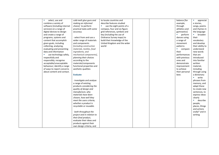| select, use and              | cold-melt glue guns and         | to locate countries and      |  | balance [for   | $\mathcal{C}$<br>appreciat |
|------------------------------|---------------------------------|------------------------------|--|----------------|----------------------------|
| combine a variety of         | making an informed              | describe features studied    |  | example,       | e stories,                 |
| software (including internet | choice] to perform              | use the eight points of a    |  | through        | songs, poems               |
| services) on a range of      | practical tasks with some       | compass, four and six-figure |  | athletics and  | and rhymes in              |
| digital devices to design    | accuracy.                       | grid references, symbols and |  | gymnastics]    | the language               |
| and create a range of        |                                 | key (including the use of    |  | perform        | broaden                    |
| programs, systems and        | · select from and use a         | Ordnance Survey maps) to     |  | dances using   | their                      |
| content that accomplish      | wider range of materials        | build their knowledge of the |  | a range of     | vocabulary                 |
| given goals, including       | and components                  | United Kingdom and the wider |  | movement       | and develop                |
| collecting, analysing,       | [including construction         | world                        |  | patterns       | their ability to           |
| evaluating and presenting    | materials, textiles, food       |                              |  | ×<br>compare   | understand                 |
| data and information         | ingredients, and                |                              |  | their          | new words                  |
| use technology safely,       | mechanical components],         |                              |  | performances   | that are                   |
| respectfully and             | planning their choices          |                              |  | with previous  | introduced                 |
| responsibly; recognise       | according to the                |                              |  | ones and       | into familiar              |
| acceptable/unacceptable      | materials/components            |                              |  | demonstrate    | written                    |
| behaviour; identify a range  | functional properties and       |                              |  | improvement    | material,                  |
| of ways to report concerns   | aesthetic qualities             |                              |  | to achieve     | including                  |
| about content and contact.   |                                 |                              |  | their personal | through using              |
|                              | <b>Evaluate</b>                 |                              |  | best.          | a dictionary               |
|                              |                                 |                              |  |                | write<br>×                 |
|                              | $\cdot$ investigate and analyse |                              |  |                | phrases from               |
|                              | a range of existing             |                              |  |                | memory, and                |
|                              | products considering the        |                              |  |                | adapt these                |
|                              | quality of design and           |                              |  |                | to create new              |
|                              | manufacture, why                |                              |  |                | sentences, to              |
|                              | materials have been             |                              |  |                | express ideas              |
|                              | chosen, how well they           |                              |  |                | clearly                    |
|                              | meet the users criteria,        |                              |  |                | describe                   |
|                              | whether a product is            |                              |  |                | people,                    |
|                              | recyclable or reusable.         |                              |  |                | places, things             |
|                              |                                 |                              |  |                | and actions                |
|                              | · both throughout the           |                              |  |                | orally* and in             |
|                              | project and in relation to      |                              |  |                | writing                    |
|                              | their final product,            |                              |  |                |                            |
|                              | evaluate their ideas and        |                              |  |                |                            |
|                              | products against their          |                              |  |                |                            |
|                              | own design criteria, and        |                              |  |                |                            |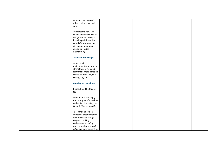| consider the views of        |  |  |  |
|------------------------------|--|--|--|
| others to improve their      |  |  |  |
| work                         |  |  |  |
|                              |  |  |  |
| · understand how key         |  |  |  |
| events and individuals in    |  |  |  |
|                              |  |  |  |
| design and technology        |  |  |  |
| have helped shape the        |  |  |  |
| world [for example the       |  |  |  |
| development of food          |  |  |  |
| design by Heston             |  |  |  |
| <b>Blumenthal]</b>           |  |  |  |
|                              |  |  |  |
| <b>Technical knowledge</b>   |  |  |  |
|                              |  |  |  |
| $\cdot$ apply their          |  |  |  |
| understanding of how to      |  |  |  |
| strengthen, stiffen and      |  |  |  |
| reinforce a more complex     |  |  |  |
| structure, for example a     |  |  |  |
| strong, stiff shell.         |  |  |  |
|                              |  |  |  |
| <b>Cooking and Nutrition</b> |  |  |  |
|                              |  |  |  |
| Pupils should be taught      |  |  |  |
| to:                          |  |  |  |
|                              |  |  |  |
| · understand and apply       |  |  |  |
| the principles of a healthy  |  |  |  |
| and varied diet using the    |  |  |  |
| Eatwell Plate as a guide.    |  |  |  |
|                              |  |  |  |
| · prepare and cook a         |  |  |  |
| variety of predominantly     |  |  |  |
| savoury dishes using a       |  |  |  |
| range of cooking             |  |  |  |
| techniques, including        |  |  |  |
| using a heat source with     |  |  |  |
| adult supervision, peeling,  |  |  |  |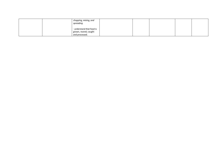| chopping, mixing, and<br>spreading.     |  |  |  |
|-----------------------------------------|--|--|--|
| understand that food is                 |  |  |  |
| grown, reared, caught<br>and processed. |  |  |  |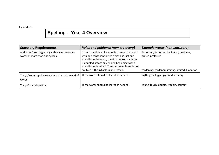Appendix 1

## **Spelling – Year 4 Overview**

| <b>Statutory Requirements</b>                                                      | <b>Rules and guidance (non-statutory)</b>                                                                                                                                                                                                                                                                  | <b>Example words (non-statutory)</b>                                                                                   |
|------------------------------------------------------------------------------------|------------------------------------------------------------------------------------------------------------------------------------------------------------------------------------------------------------------------------------------------------------------------------------------------------------|------------------------------------------------------------------------------------------------------------------------|
| Adding suffixes beginning with vowel letters to<br>words of more than one syllable | If the last syllable of a word is stressed and ends<br>with one consonant letter which has just one<br>vowel letter before it, the final consonant letter<br>is doubled before any ending beginning with a<br>vowel letter is added. The consonant letter is not<br>doubled if the syllable is unstressed. | forgetting, forgotten, beginning, beginner,<br>prefer, preferred<br>gardening, gardener, limiting, limited, limitation |
| The $/I/$ sound spelt y elsewhere than at the end of<br>words                      | These words should be learnt as needed.                                                                                                                                                                                                                                                                    | myth, gym, Egypt, pyramid, mystery                                                                                     |
| The $/\Lambda$ sound spelt ou                                                      | These words should be learnt as needed.                                                                                                                                                                                                                                                                    | young, touch, double, trouble, country                                                                                 |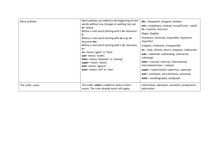| More prefixes     | Most prefixes are added to the beginning of root<br>words without any changes in spelling, but see<br>in-below.<br>Before a root word starting with I, in-becomes<br>il.<br>Before a root word starting with $m$ or $p$ , in-<br>becomes im-.<br>Before a root word starting with r, in-becomes<br>ir-.<br>re-means 'again' or 'back'.<br>sub-means 'under'.<br>inter-means 'between' or 'among'.<br>super-means 'above'.<br>anti-means 'against'.<br>auto-means 'self' or 'own'. | dis-: disappoint, disagree, disobey<br>$mis-$ : misbehave, mislead, misspell (mis + spell)<br>in-: inactive, incorrect<br>illegal, illegible<br>immature, immortal, impossible, impatient,<br>imperfect<br>irregular, irrelevant, irresponsible<br>re-: redo, refresh, return, reappear, redecorate<br>sub-: subdivide, subheading, submarine,<br>submerge<br>inter-: interact, intercity, international,<br>interrelated (inter + related<br>super-: supermarket, superman, superstar<br>anti-: antiseptic, anti-clockwise, antisocial<br>auto-: autobiography, autograph |
|-------------------|-----------------------------------------------------------------------------------------------------------------------------------------------------------------------------------------------------------------------------------------------------------------------------------------------------------------------------------------------------------------------------------------------------------------------------------------------------------------------------------|----------------------------------------------------------------------------------------------------------------------------------------------------------------------------------------------------------------------------------------------------------------------------------------------------------------------------------------------------------------------------------------------------------------------------------------------------------------------------------------------------------------------------------------------------------------------------|
| The suffix -ation | The suffix -ation is added to verbs to form<br>nouns. The rules already learnt still apply.                                                                                                                                                                                                                                                                                                                                                                                       | information, adoration, sensation, preparation,<br>admiration                                                                                                                                                                                                                                                                                                                                                                                                                                                                                                              |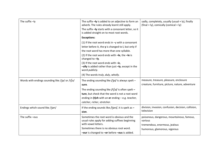| The suffix -ly                                 | The suffix -ly is added to an adjective to form an<br>adverb. The rules already learnt still apply.            | sadly, completely, usually (usual + ly), finally<br>$(final + ly)$ , comically (comical + ly) |
|------------------------------------------------|----------------------------------------------------------------------------------------------------------------|-----------------------------------------------------------------------------------------------|
|                                                | The suffix - ly starts with a consonant letter, so it<br>is added straight on to most root words.              |                                                                                               |
|                                                | <b>Exceptions:</b>                                                                                             |                                                                                               |
|                                                | (1) If the root word ends in $-y$ with a consonant                                                             |                                                                                               |
|                                                | letter before it, the $y$ is changed to $i$ , but only if                                                      |                                                                                               |
|                                                | the root word has more than one syllable.                                                                      |                                                                                               |
|                                                | (2) If the root word ends with $-Ie$ , the $-Ie$ is<br>changed to $-ly$ .                                      |                                                                                               |
|                                                | (3) If the root word ends with $-ic$ ,<br>-ally is added rather than just -ly, except in the<br>word publicly. |                                                                                               |
|                                                | (4) The words truly, duly, wholly.                                                                             |                                                                                               |
| Words with endings sounding like /3a/ or /tʃa/ | The ending sounding like $73$ a $/$ is always spelt -                                                          | measure, treasure, pleasure, enclosure                                                        |
|                                                | sure.                                                                                                          | creature, furniture, picture, nature, adventure                                               |
|                                                | The ending sounding like $/t$ $\int$ ə $/$ is often spelt -                                                    |                                                                                               |
|                                                | ture, but check that the word is not a root word                                                               |                                                                                               |
|                                                | ending in (t)ch with an er ending - e.g. teacher,                                                              |                                                                                               |
|                                                | catcher, richer, stretcher.                                                                                    |                                                                                               |
| Endings which sound like /3an/                 | If the ending sounds like / $\frac{1}{3}$ an/, it is spelt as -<br>sion.                                       | division, invasion, confusion, decision, collision,<br>television                             |
| The suffix-ous                                 | Sometimes the root word is obvious and the                                                                     | poisonous, dangerous, mountainous, famous,                                                    |
|                                                | usual rules apply for adding suffixes beginning                                                                | various                                                                                       |
|                                                | with vowel letters.                                                                                            | tremendous, enormous, jealous                                                                 |
|                                                | Sometimes there is no obvious root word.                                                                       | humorous, glamorous, vigorous                                                                 |
|                                                | -our is changed to -or before -ous is added.                                                                   |                                                                                               |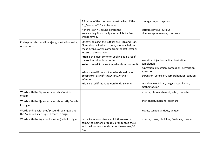|                                                                                                 | A final 'e' of the root word must be kept if the<br>/d3/ sound of 'g' is to be kept.<br>If there is an /i:/ sound before the<br>-ous ending, it is usually spelt as i, but a few<br>words have e.                                                                                                                                                                                                                                                                                                           | courageous, outrageous<br>serious, obvious, curious<br>hideous, spontaneous, courteous                                                                                                                                                   |
|-------------------------------------------------------------------------------------------------|-------------------------------------------------------------------------------------------------------------------------------------------------------------------------------------------------------------------------------------------------------------------------------------------------------------------------------------------------------------------------------------------------------------------------------------------------------------------------------------------------------------|------------------------------------------------------------------------------------------------------------------------------------------------------------------------------------------------------------------------------------------|
| Endings which sound like / ∫an/, spelt -tion, -sion,<br>-ssion, -cian                           | Strictly speaking, the suffixes are -ion and -ian.<br>Clues about whether to put t, s, ss or c before<br>these suffixes often come from the last letter or<br>letters of the root word.<br>-tion is the most common spelling. It is used if<br>the root word ends in t or te.<br>-ssion is used if the root word ends in ss or -mit.<br>-sion is used if the root word ends in d or se.<br>Exceptions: attend - attention, intend -<br>intention.<br><b>-cian</b> is used if the root word ends in c or cs. | invention, injection, action, hesitation,<br>completion<br>expression, discussion, confession, permission,<br>admission<br>expansion, extension, comprehension, tension<br>musician, electrician, magician, politician,<br>mathematician |
| Words with the /k/ sound spelt ch (Greek in<br>origin)                                          |                                                                                                                                                                                                                                                                                                                                                                                                                                                                                                             | scheme, chorus, chemist, echo, character                                                                                                                                                                                                 |
| Words with the $\int \int$ sound spelt ch (mostly French<br>in origin)                          |                                                                                                                                                                                                                                                                                                                                                                                                                                                                                                             | chef, chalet, machine, brochure                                                                                                                                                                                                          |
| Words ending with the $/g/$ sound spelt -gue and<br>the /k/ sound spelt -que (French in origin) |                                                                                                                                                                                                                                                                                                                                                                                                                                                                                                             | league, tongue, antique, unique                                                                                                                                                                                                          |
| Words with the /s/ sound spelt sc (Latin in origin)                                             | In the Latin words from which these words<br>come, the Romans probably pronounced the c<br>and the <b>k</b> as two sounds rather than one $-\frac{s}{s}$<br>/k/.                                                                                                                                                                                                                                                                                                                                            | science, scene, discipline, fascinate, crescent                                                                                                                                                                                          |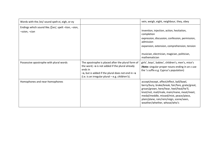| Words with the /eɪ/ sound spelt ei, eigh, or ey                        |                                                                                                                                                                                                                                         | vein, weigh, eight, neighbour, they, obey                                                                                                                                                                                                                                                                      |
|------------------------------------------------------------------------|-----------------------------------------------------------------------------------------------------------------------------------------------------------------------------------------------------------------------------------------|----------------------------------------------------------------------------------------------------------------------------------------------------------------------------------------------------------------------------------------------------------------------------------------------------------------|
| Endings which sound like / J an/, spelt -tion, -sion,<br>-ssion, -cian |                                                                                                                                                                                                                                         | invention, injection, action, hesitation,<br>completion<br>expression, discussion, confession, permission,<br>admission<br>expansion, extension, comprehension, tension<br>musician, electrician, magician, politician,<br>mathematician                                                                       |
| Possessive apostrophe with plural words                                | The apostrophe is placed after the plural form of<br>the word; $-s$ is not added if the plural already<br>ends in<br>$-$ s, but <i>is</i> added if the plural does not end in $-$ s<br>(i.e. is an irregular plural – e.g. children's). | girls', boys', babies', children's, men's, mice's<br>(Note: singular proper nouns ending in an s use<br>the 's suffix e.g. Cyprus's population)                                                                                                                                                                |
| Homophones and near-homophones                                         |                                                                                                                                                                                                                                         | accept/except, affect/effect, ball/bawl,<br>berry/bury, brake/break, fair/fare, grate/great,<br>groan/grown, here/hear, heel/heal/he'll,<br>knot/not, mail/male, main/mane, meat/meet,<br>medal/meddle, missed/mist, peace/piece,<br>plain/plane, rain/rein/reign, scene/seen,<br>weather/whether, whose/who's |